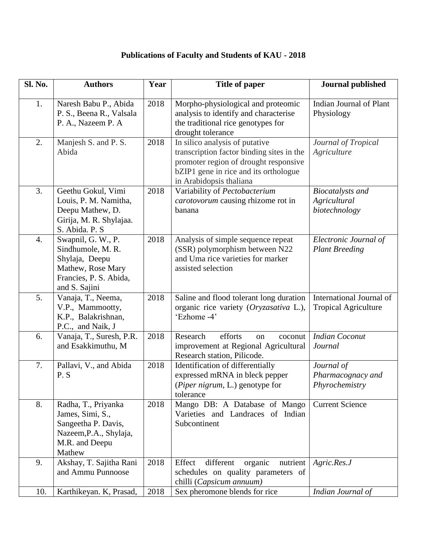## **Publications of Faculty and Students of KAU - 2018**

| Sl. No. | <b>Authors</b>                                                                                                            | Year | Title of paper                                                                                                                                                                           | <b>Journal published</b>                                 |
|---------|---------------------------------------------------------------------------------------------------------------------------|------|------------------------------------------------------------------------------------------------------------------------------------------------------------------------------------------|----------------------------------------------------------|
| 1.      | Naresh Babu P., Abida<br>P. S., Beena R., Valsala<br>P. A., Nazeem P. A                                                   | 2018 | Morpho-physiological and proteomic<br>analysis to identify and characterise<br>the traditional rice genotypes for<br>drought tolerance                                                   | Indian Journal of Plant<br>Physiology                    |
| 2.      | Manjesh S. and P. S.<br>Abida                                                                                             | 2018 | In silico analysis of putative<br>transcription factor binding sites in the<br>promoter region of drought responsive<br>bZIP1 gene in rice and its orthologue<br>in Arabidopsis thaliana | Journal of Tropical<br>Agriculture                       |
| 3.      | Geethu Gokul, Vimi<br>Louis, P. M. Namitha,<br>Deepu Mathew, D.<br>Girija, M. R. Shylajaa.<br>S. Abida. P. S.             | 2018 | Variability of Pectobacterium<br>carotovorum causing rhizome rot in<br>banana                                                                                                            | <b>Biocatalysts and</b><br>Agricultural<br>biotechnology |
| 4.      | Swapnil, G. W., P.<br>Sindhumole, M. R.<br>Shylaja, Deepu<br>Mathew, Rose Mary<br>Francies, P. S. Abida,<br>and S. Sajini | 2018 | Analysis of simple sequence repeat<br>(SSR) polymorphism between N22<br>and Uma rice varieties for marker<br>assisted selection                                                          | Electronic Journal of<br><b>Plant Breeding</b>           |
| 5.      | Vanaja, T., Neema,<br>V.P., Mammootty,<br>K.P., Balakrishnan,<br>P.C., and Naik, J                                        | 2018 | Saline and flood tolerant long duration<br>organic rice variety (Oryzasativa L.),<br>'Ezhome -4'                                                                                         | International Journal of<br><b>Tropical Agriculture</b>  |
| 6.      | Vanaja, T., Suresh, P.R.<br>and Esakkimuthu, M                                                                            | 2018 | Research<br>efforts<br>coconut<br>on<br>improvement at Regional Agricultural<br>Research station, Pilicode.                                                                              | <b>Indian Coconut</b><br>Journal                         |
| 7.      | Pallavi, V., and Abida<br>P.S                                                                                             | 2018 | Identification of differentially<br>expressed mRNA in bleck pepper<br>(Piper nigrum, L.) genotype for<br>tolerance                                                                       | Journal of<br>Pharmacognacy and<br>Phyrochemistry        |
| 8.      | Radha, T., Priyanka<br>James, Simi, S.,<br>Sangeetha P. Davis,<br>Nazeem, P.A., Shylaja,<br>M.R. and Deepu<br>Mathew      | 2018 | Mango DB: A Database of Mango<br>Varieties and Landraces of Indian<br>Subcontinent                                                                                                       | <b>Current Science</b>                                   |
| 9.      | Akshay, T. Sajitha Rani<br>and Ammu Punnoose                                                                              | 2018 | different<br>organic<br>Effect<br>nutrient<br>schedules on quality parameters of<br>chilli (Capsicum annuum)                                                                             | Agric. Res. J                                            |
| 10.     | Karthikeyan. K, Prasad,                                                                                                   | 2018 | Sex pheromone blends for rice                                                                                                                                                            | Indian Journal of                                        |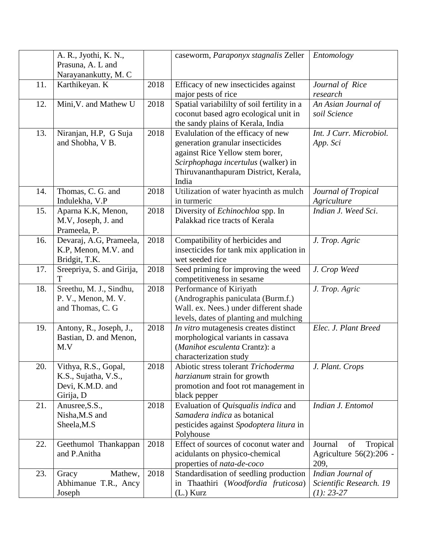|     | A. R., Jyothi, K. N.,     |      | caseworm, Paraponyx stagnalis Zeller        | Entomology                |
|-----|---------------------------|------|---------------------------------------------|---------------------------|
|     | Prasuna, A. L and         |      |                                             |                           |
|     | Narayanankutty, M. C      |      |                                             |                           |
| 11. | Karthikeyan. K            | 2018 | Efficacy of new insecticides against        | Journal of Rice           |
|     |                           |      | major pests of rice                         | research                  |
| 12. | Mini, V. and Mathew U     | 2018 | Spatial variabililty of soil fertility in a | An Asian Journal of       |
|     |                           |      | coconut based agro ecological unit in       | soil Science              |
|     |                           |      |                                             |                           |
|     |                           |      | the sandy plains of Kerala, India           |                           |
| 13. | Niranjan, H.P, G Suja     | 2018 | Evalulation of the efficacy of new          | Int. J Curr. Microbiol.   |
|     | and Shobha, V B.          |      | generation granular insecticides            | App. Sci                  |
|     |                           |      | against Rice Yellow stem borer,             |                           |
|     |                           |      | Scirphophaga incertulus (walker) in         |                           |
|     |                           |      | Thiruvananthapuram District, Kerala,        |                           |
|     |                           |      | India                                       |                           |
| 14. | Thomas, C. G. and         | 2018 | Utilization of water hyacinth as mulch      | Journal of Tropical       |
|     | Indulekha, V.P            |      | in turmeric                                 | Agriculture               |
| 15. | Aparna K.K, Menon,        | 2018 |                                             | Indian J. Weed Sci.       |
|     |                           |      | Diversity of Echinochloa spp. In            |                           |
|     | M.V, Joseph, J. and       |      | Palakkad rice tracts of Kerala              |                           |
|     | Prameela, P.              |      |                                             |                           |
| 16. | Devaraj, A.G, Prameela,   | 2018 | Compatibility of herbicides and             | J. Trop. Agric            |
|     | K.P, Menon, M.V. and      |      | insecticides for tank mix application in    |                           |
|     | Bridgit, T.K.             |      | wet seeded rice                             |                           |
| 17. | Sreepriya, S. and Girija, | 2018 | Seed priming for improving the weed         | J. Crop Weed              |
|     | T                         |      | competitiveness in sesame                   |                           |
| 18. | Sreethu, M. J., Sindhu,   | 2018 | Performance of Kiriyath                     | J. Trop. Agric            |
|     | P. V., Menon, M. V.       |      | (Andrographis paniculata (Burm.f.)          |                           |
|     | and Thomas, C. G          |      | Wall. ex. Nees.) under different shade      |                           |
|     |                           |      | levels, dates of planting and mulching      |                           |
|     |                           | 2018 |                                             | Elec. J. Plant Breed      |
| 19. | Antony, R., Joseph, J.,   |      | In vitro mutagenesis creates distinct       |                           |
|     | Bastian, D. and Menon,    |      | morphological variants in cassava           |                           |
|     | M.V                       |      | (Manihot esculenta Crantz): a               |                           |
|     |                           |      | characterization study                      |                           |
| 20. | Vithya, R.S., Gopal,      | 2018 | Abiotic stress tolerant Trichoderma         | J. Plant. Crops           |
|     | K.S., Sujatha, V.S.,      |      | harzianum strain for growth                 |                           |
|     | Devi, K.M.D. and          |      | promotion and foot rot management in        |                           |
|     | Girija, D                 |      | black pepper                                |                           |
| 21. | Anusree, S.S.,            | 2018 | Evaluation of Quisqualis indica and         | Indian J. Entomol         |
|     | Nisha, M.S and            |      | Samadera indica as botanical                |                           |
|     |                           |      |                                             |                           |
|     | Sheela, M.S               |      | pesticides against Spodoptera litura in     |                           |
|     |                           |      | Polyhouse                                   |                           |
| 22. | Geethumol Thankappan      | 2018 | Effect of sources of coconut water and      | Tropical<br>Journal<br>of |
|     | and P.Anitha              |      | acidulants on physico-chemical              | Agriculture 56(2):206 -   |
|     |                           |      | properties of nata-de-coco                  | 209,                      |
| 23. | Mathew,<br>Gracy          | 2018 | Standardisation of seedling production      | Indian Journal of         |
|     | Abhimanue T.R., Ancy      |      | in Thaathiri (Woodfordia fruticosa)         | Scientific Research. 19   |
|     | Joseph                    |      | $(L.)$ Kurz                                 | $(1): 23-27$              |
|     |                           |      |                                             |                           |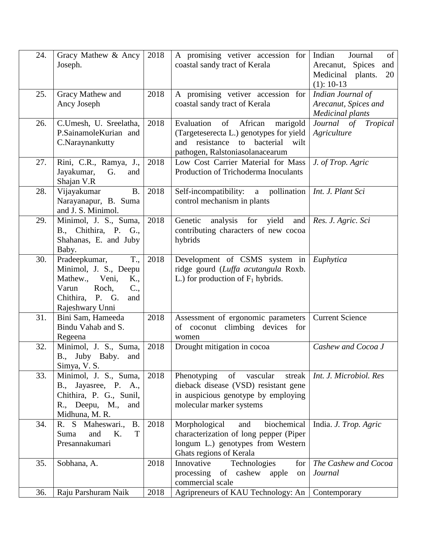| 24. | Gracy Mathew & Ancy<br>Joseph.                                                                                                                       | 2018 | A promising vetiver accession for<br>coastal sandy tract of Kerala                                                                                              | Indian<br>Journal<br>of<br>Arecanut, Spices<br>and<br>Medicinal<br>plants.<br>20<br>$(1): 10-13$ |
|-----|------------------------------------------------------------------------------------------------------------------------------------------------------|------|-----------------------------------------------------------------------------------------------------------------------------------------------------------------|--------------------------------------------------------------------------------------------------|
| 25. | Gracy Mathew and<br>Ancy Joseph                                                                                                                      | 2018 | $\overline{A}$ promising vetiver accession for<br>coastal sandy tract of Kerala                                                                                 | Indian Journal of<br>Arecanut, Spices and<br><b>Medicinal plants</b>                             |
| 26. | C.Umesh, U. Sreelatha,<br>P.SainamoleKurian and<br>C.Naraynankutty                                                                                   | 2018 | Evaluation of African<br>marigold<br>(Targeteserecta L.) genotypes for yield<br>resistance<br>bacterial<br>and<br>to<br>wilt<br>pathogen, Ralstoniasolanacearum | Journal of Tropical<br>Agriculture                                                               |
| 27. | Rini, C.R., Ramya, J.,<br>Jayakumar,<br>G.<br>and<br>Shajan V.R                                                                                      | 2018 | Low Cost Carrier Material for Mass<br>Production of Trichoderma Inoculants                                                                                      | J. of Trop. Agric                                                                                |
| 28. | Vijayakumar<br><b>B.</b><br>Narayanapur, B. Suma<br>and J. S. Minimol.                                                                               | 2018 | Self-incompatibility: a pollination<br>control mechanism in plants                                                                                              | Int. J. Plant Sci                                                                                |
| 29. | Minimol, J. S., Suma,<br>B., Chithira, P. G.,<br>Shahanas, E. and Juby<br>Baby.                                                                      | 2018 | Genetic<br>analysis for yield<br>and<br>contributing characters of new cocoa<br>hybrids                                                                         | Res. J. Agric. Sci                                                                               |
| 30. | T.,<br>Pradeepkumar,<br>Minimol, J. S., Deepu<br>Mathew., Veni,<br>K.,<br>$C_{\cdot}$<br>Varun<br>Roch,<br>Chithira, P. G.<br>and<br>Rajeshwary Unni | 2018 | Development of CSMS system in<br>ridge gourd (Luffa acutangula Roxb.<br>L.) for production of $F_1$ hybrids.                                                    | Euphytica                                                                                        |
| 31. | Bini Sam, Hameeda<br>Bindu Vahab and S.<br>Regeena                                                                                                   | 2018 | Assessment of ergonomic parameters<br>of coconut climbing devices for<br>women                                                                                  | <b>Current Science</b>                                                                           |
| 32. | Minimol, J. S., Suma,<br>B., Juby Baby. and<br>Simya, V. S.                                                                                          | 2018 | Drought mitigation in cocoa                                                                                                                                     | Cashew and Cocoa J                                                                               |
| 33. | Minimol, J. S., Suma,<br>B., Jayasree, P. A.,<br>Chithira, P. G., Sunil,<br>R., Deepu, M.,<br>and<br>Midhuna, M. R.                                  | 2018 | Phenotyping of vascular<br>streak<br>dieback disease (VSD) resistant gene<br>in auspicious genotype by employing<br>molecular marker systems                    | Int. J. Microbiol. Res                                                                           |
| 34. | R. S. Maheswari., B.<br>K.<br>T<br>and<br>Suma<br>Presannakumari                                                                                     | 2018 | biochemical<br>Morphological<br>and<br>characterization of long pepper (Piper<br>longum L.) genotypes from Western<br>Ghats regions of Kerala                   | India. J. Trop. Agric                                                                            |
| 35. | Sobhana, A.                                                                                                                                          | 2018 | Technologies<br>Innovative<br>for<br>processing<br>of cashew<br>apple<br>on<br>commercial scale                                                                 | The Cashew and Cocoa<br>Journal                                                                  |
| 36. | Raju Parshuram Naik                                                                                                                                  | 2018 | Agripreneurs of KAU Technology: An                                                                                                                              | Contemporary                                                                                     |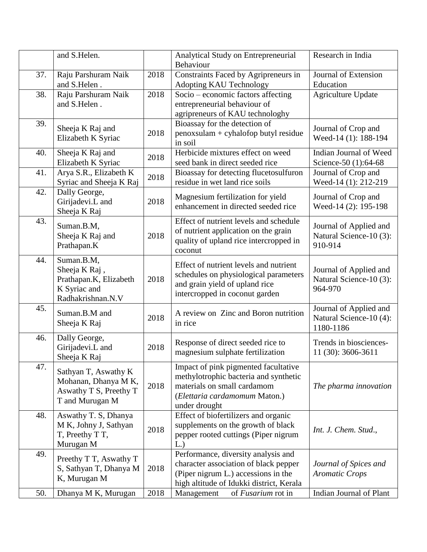|     | and S.Helen.                                                                               |      | Analytical Study on Entrepreneurial<br>Behaviour                                                                                                                | Research in India                                              |
|-----|--------------------------------------------------------------------------------------------|------|-----------------------------------------------------------------------------------------------------------------------------------------------------------------|----------------------------------------------------------------|
| 37. | Raju Parshuram Naik<br>and S.Helen.                                                        | 2018 | Constraints Faced by Agripreneurs in<br>Adopting KAU Technology                                                                                                 | Journal of Extension<br>Education                              |
| 38. | Raju Parshuram Naik<br>and S.Helen.                                                        | 2018 | Socio – economic factors affecting<br>entrepreneurial behaviour of<br>agripreneurs of KAU technologhy                                                           | <b>Agriculture Update</b>                                      |
| 39. | Sheeja K Raj and<br>Elizabeth K Syriac                                                     | 2018 | Bioassay for the detection of<br>$penoxsulam + cyhalofop butyl residue$<br>in soil                                                                              | Journal of Crop and<br>Weed-14 (1): 188-194                    |
| 40. | Sheeja K Raj and<br>Elizabeth K Syriac                                                     | 2018 | Herbicide mixtures effect on weed<br>seed bank in direct seeded rice                                                                                            | Indian Journal of Weed<br>Science-50 (1):64-68                 |
| 41. | Arya S.R., Elizabeth K<br>Syriac and Sheeja K Raj                                          | 2018 | Bioassay for detecting flucetosulfuron<br>residue in wet land rice soils                                                                                        | Journal of Crop and<br>Weed-14 (1): 212-219                    |
| 42. | Dally George,<br>Girijadevi.L and<br>Sheeja K Raj                                          | 2018 | Magnesium fertilization for yield<br>enhancement in directed seeded rice                                                                                        | Journal of Crop and<br>Weed-14 (2): 195-198                    |
| 43. | Suman.B.M,<br>Sheeja K Raj and<br>Prathapan.K                                              | 2018 | Effect of nutrient levels and schedule<br>of nutrient application on the grain<br>quality of upland rice intercropped in<br>coconut                             | Journal of Applied and<br>Natural Science-10 (3):<br>910-914   |
| 44. | Suman.B.M,<br>Sheeja K Raj,<br>Prathapan.K, Elizabeth<br>K Syriac and<br>Radhakrishnan.N.V | 2018 | Effect of nutrient levels and nutrient<br>schedules on physiological parameters<br>and grain yield of upland rice<br>intercropped in coconut garden             | Journal of Applied and<br>Natural Science-10 (3):<br>964-970   |
| 45. | Suman.B.M and<br>Sheeja K Raj                                                              | 2018 | A review on Zinc and Boron nutrition<br>in rice                                                                                                                 | Journal of Applied and<br>Natural Science-10 (4):<br>1180-1186 |
| 46. | Dally George,<br>Girijadevi.L and<br>Sheeja K Raj                                          | 2018 | Response of direct seeded rice to<br>magnesium sulphate fertilization                                                                                           | Trends in biosciences-<br>11 (30): 3606-3611                   |
| 47. | Sathyan T, Aswathy K<br>Mohanan, Dhanya M K,<br>Aswathy T S, Preethy T<br>T and Murugan M  | 2018 | Impact of pink pigmented facultative<br>methylotrophic bacteria and synthetic<br>materials on small cardamom<br>(Elettaria cardamomum Maton.)<br>under drought  | The pharma innovation                                          |
| 48. | Aswathy T. S, Dhanya<br>M K, Johny J, Sathyan<br>T, Preethy T T,<br>Murugan M              | 2018 | Effect of biofertilizers and organic<br>supplements on the growth of black<br>pepper rooted cuttings (Piper nigrum<br>L.                                        | Int. J. Chem. Stud.,                                           |
| 49. | Preethy T T, Aswathy T<br>S, Sathyan T, Dhanya M<br>K, Murugan M                           | 2018 | Performance, diversity analysis and<br>character association of black pepper<br>(Piper nigrum L.) accessions in the<br>high altitude of Idukki district, Kerala | Journal of Spices and<br><b>Aromatic Crops</b>                 |
| 50. | Dhanya M K, Murugan                                                                        | 2018 | Management<br>of Fusarium rot in                                                                                                                                | Indian Journal of Plant                                        |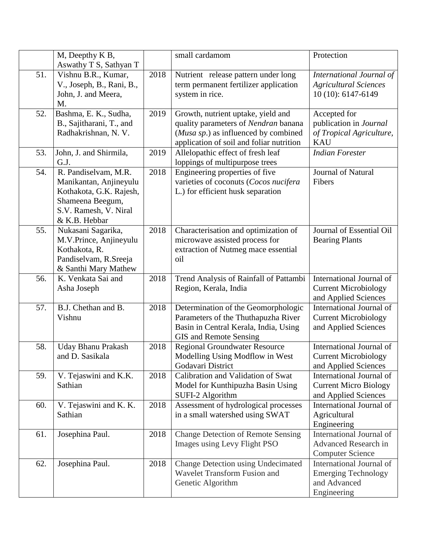|     | M, Deepthy K B,                                                                                                                         |      | small cardamom                                                                                                                                                 | Protection                                                                            |
|-----|-----------------------------------------------------------------------------------------------------------------------------------------|------|----------------------------------------------------------------------------------------------------------------------------------------------------------------|---------------------------------------------------------------------------------------|
|     | Aswathy T S, Sathyan T                                                                                                                  |      |                                                                                                                                                                |                                                                                       |
| 51. | Vishnu B.R., Kumar,<br>V., Joseph, B., Rani, B.,<br>John, J. and Meera,<br>M.                                                           | 2018 | Nutrient release pattern under long<br>term permanent fertilizer application<br>system in rice.                                                                | International Journal of<br><b>Agricultural Sciences</b><br>10 (10): 6147-6149        |
| 52. | Bashma, E. K., Sudha,<br>B., Sajitharani, T., and<br>Radhakrishnan, N. V.                                                               | 2019 | Growth, nutrient uptake, yield and<br>quality parameters of Nendran banana<br>(Musa sp.) as influenced by combined<br>application of soil and foliar nutrition | Accepted for<br>publication in Journal<br>of Tropical Agriculture,<br><b>KAU</b>      |
| 53. | John, J. and Shirmila,<br>G.J.                                                                                                          | 2019 | Allelopathic effect of fresh leaf<br>loppings of multipurpose trees                                                                                            | <b>Indian Forester</b>                                                                |
| 54. | R. Pandiselvam, M.R.<br>Manikantan, Anjineyulu<br>Kothakota, G.K. Rajesh,<br>Shameena Beegum,<br>S.V. Ramesh, V. Niral<br>& K.B. Hebbar | 2018 | Engineering properties of five<br>varieties of coconuts (Cocos nucifera<br>L.) for efficient husk separation                                                   | Journal of Natural<br>Fibers                                                          |
| 55. | Nukasani Sagarika,<br>M.V.Prince, Anjineyulu<br>Kothakota, R.<br>Pandiselvam, R.Sreeja<br>& Santhi Mary Mathew                          | 2018 | Characterisation and optimization of<br>microwave assisted process for<br>extraction of Nutmeg mace essential<br>oil                                           | Journal of Essential Oil<br><b>Bearing Plants</b>                                     |
| 56. | K. Venkata Sai and<br>Asha Joseph                                                                                                       | 2018 | Trend Analysis of Rainfall of Pattambi<br>Region, Kerala, India                                                                                                | International Journal of<br><b>Current Microbiology</b><br>and Applied Sciences       |
| 57. | B.J. Chethan and B.<br>Vishnu                                                                                                           | 2018 | Determination of the Geomorphologic<br>Parameters of the Thuthapuzha River<br>Basin in Central Kerala, India, Using<br>GIS and Remote Sensing                  | International Journal of<br><b>Current Microbiology</b><br>and Applied Sciences       |
| 58. | <b>Uday Bhanu Prakash</b><br>and D. Sasikala                                                                                            | 2018 | <b>Regional Groundwater Resource</b><br>Modelling Using Modflow in West<br>Godavari District                                                                   | International Journal of<br><b>Current Microbiology</b><br>and Applied Sciences       |
| 59. | V. Tejaswini and K.K.<br>Sathian                                                                                                        | 2018 | Calibration and Validation of Swat<br>Model for Kunthipuzha Basin Using<br>SUFI-2 Algorithm                                                                    | International Journal of<br><b>Current Micro Biology</b><br>and Applied Sciences      |
| 60. | V. Tejaswini and K. K.<br>Sathian                                                                                                       | 2018 | Assessment of hydrological processes<br>in a small watershed using SWAT                                                                                        | International Journal of<br>Agricultural<br>Engineering                               |
| 61. | Josephina Paul.                                                                                                                         | 2018 | <b>Change Detection of Remote Sensing</b><br>Images using Levy Flight PSO                                                                                      | International Journal of<br>Advanced Research in<br><b>Computer Science</b>           |
| 62. | Josephina Paul.                                                                                                                         | 2018 | Change Detection using Undecimated<br>Wavelet Transform Fusion and<br>Genetic Algorithm                                                                        | International Journal of<br><b>Emerging Technology</b><br>and Advanced<br>Engineering |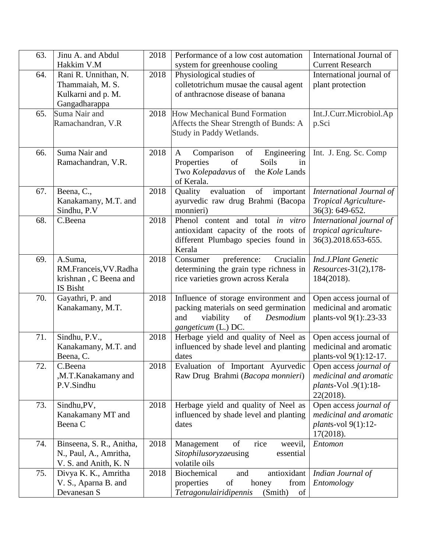| 63. | Jinu A. and Abdul        | 2018 | Performance of a low cost automation            | International Journal of            |
|-----|--------------------------|------|-------------------------------------------------|-------------------------------------|
|     | Hakkim V.M               |      | system for greenhouse cooling                   | <b>Current Research</b>             |
| 64. | Rani R. Unnithan, N.     | 2018 | Physiological studies of                        | International journal of            |
|     | Thammaiah, M. S.         |      | colletotrichum musae the causal agent           | plant protection                    |
|     | Kulkarni and p. M.       |      | of anthracnose disease of banana                |                                     |
|     | Gangadharappa            |      |                                                 |                                     |
| 65. | Suma Nair and            | 2018 | <b>How Mechanical Bund Formation</b>            | Int.J.Curr.Microbiol.Ap             |
|     | Ramachandran, V.R        |      | Affects the Shear Strength of Bunds: A          | p.Sci                               |
|     |                          |      | Study in Paddy Wetlands.                        |                                     |
|     |                          |      |                                                 |                                     |
| 66. | Suma Nair and            | 2018 | of<br>$\mathbf{A}$<br>Comparison<br>Engineering | Int. J. Eng. Sc. Comp               |
|     | Ramachandran, V.R.       |      | Properties<br>of<br>Soils<br>in                 |                                     |
|     |                          |      | Two Kolepadavus of<br>the Kole Lands            |                                     |
|     |                          |      | of Kerala.                                      |                                     |
| 67. | Beena, C.,               | 2018 | evaluation<br>Quality<br>of important           | International Journal of            |
|     | Kanakamany, M.T. and     |      | ayurvedic raw drug Brahmi (Bacopa               | Tropical Agriculture-               |
|     | Sindhu, P.V              |      | monnieri)                                       | 36(3): 649-652.                     |
| 68. | C.Beena                  | 2018 | Phenol content and total in vitro               | International journal of            |
|     |                          |      | antioxidant capacity of the roots of            | tropical agriculture-               |
|     |                          |      | different Plumbago species found in             | 36(3).2018.653-655.                 |
|     |                          |      | Kerala                                          |                                     |
| 69. | A.Suma,                  | 2018 | Crucialin<br>preference:<br>Consumer            | Ind.J.Plant Genetic                 |
|     | RM.Franceis, VV.Radha    |      | determining the grain type richness in          | Resources-31(2), 178-               |
|     | krishnan, C Beena and    |      | rice varieties grown across Kerala              | 184(2018).                          |
|     | IS Bisht                 |      |                                                 |                                     |
| 70. | Gayathri, P. and         | 2018 | Influence of storage environment and            | Open access journal of              |
|     | Kanakamany, M.T.         |      | packing materials on seed germination           | medicinal and aromatic              |
|     |                          |      | viability<br>of<br>and<br>Desmodium             | plants-vol 9(1): .23-33             |
|     |                          |      | gangeticum (L.) DC.                             |                                     |
| 71. | Sindhu, P.V.,            | 2018 | Herbage yield and quality of Neel as            | Open access journal of              |
|     | Kanakamany, M.T. and     |      | influenced by shade level and planting          | medicinal and aromatic              |
|     | Beena, C.                |      | dates                                           | plants-vol 9(1):12-17.              |
| 72. | C.Beena                  | 2018 | Evaluation of Important Ayurvedic               | Open access journal of              |
|     | ,M.T.Kanakamany and      |      | Raw Drug Brahmi (Bacopa monnieri)               | medicinal and aromatic              |
|     | P.V.Sindhu               |      |                                                 | plants-Vol.9(1):18-                 |
| 73. | Sindhu, PV,              | 2018 | Herbage yield and quality of Neel as            | 22(2018).<br>Open access journal of |
|     | Kanakamany MT and        |      | influenced by shade level and planting          | medicinal and aromatic              |
|     | Beena C                  |      | dates                                           | <i>plants-vol</i> 9(1):12-          |
|     |                          |      |                                                 | 17(2018).                           |
| 74. | Binseena, S. R., Anitha, | 2018 | of<br>rice<br>Management<br>weevil,             | Entomon                             |
|     | N., Paul, A., Amritha,   |      | Sitophilusoryzaeusing<br>essential              |                                     |
|     | V. S. and Anith, K. N.   |      | volatile oils                                   |                                     |
| 75. | Divya K. K., Amritha     | 2018 | <b>Biochemical</b><br>antioxidant<br>and        | Indian Journal of                   |
|     | V. S., Aparna B. and     |      | of<br>properties<br>honey<br>from               | Entomology                          |
|     | Devanesan S              |      | Tetragonulairidipennis<br>(Smith)<br>of         |                                     |
|     |                          |      |                                                 |                                     |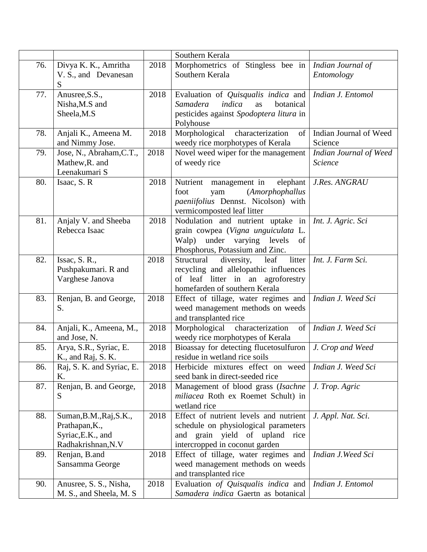|     |                                                                                      |      | Southern Kerala                                                                                                                                           |                                          |
|-----|--------------------------------------------------------------------------------------|------|-----------------------------------------------------------------------------------------------------------------------------------------------------------|------------------------------------------|
| 76. | Divya K. K., Amritha<br>V. S., and Devanesan<br>S                                    | 2018 | Morphometrics of Stingless bee in<br>Southern Kerala                                                                                                      | Indian Journal of<br>Entomology          |
| 77. | Anusree, S.S.,<br>Nisha, M.S and<br>Sheela, M.S                                      | 2018 | Evaluation of <i>Quisqualis indica</i> and<br><b>Samadera</b><br>indica<br>botanical<br>as<br>pesticides against Spodoptera litura in<br>Polyhouse        | Indian J. Entomol                        |
| 78. | Anjali K., Ameena M.<br>and Nimmy Jose.                                              | 2018 | characterization<br>Morphological<br>of<br>weedy rice morphotypes of Kerala                                                                               | Indian Journal of Weed<br>Science        |
| 79. | Jose, N., Abraham, C.T.,<br>Mathew, R. and<br>Leenakumari S                          | 2018 | Novel weed wiper for the management<br>of weedy rice                                                                                                      | Indian Journal of Weed<br><b>Science</b> |
| 80. | Isaac, S. R                                                                          | 2018 | Nutrient management in<br>elephant<br>(Amorphophallus<br>foot<br>yam<br>paeniifolius Dennst. Nicolson) with<br>vermicomposted leaf litter                 | J.Res. ANGRAU                            |
| 81. | Anjaly V. and Sheeba<br>Rebecca Isaac                                                | 2018 | Nodulation and nutrient uptake in<br>grain cowpea (Vigna unguiculata L.<br>Walp) under varying levels of<br>Phosphorus, Potassium and Zinc.               | Int. J. Agric. Sci                       |
| 82. | Issac, S. R.,<br>Pushpakumari. R and<br>Varghese Janova                              | 2018 | diversity,<br>leaf<br>litter<br>Structural<br>recycling and allelopathic influences<br>of leaf litter in an agroforestry<br>homefarden of southern Kerala | Int. J. Farm Sci.                        |
| 83. | Renjan, B. and George,<br>S.                                                         | 2018 | Effect of tillage, water regimes and<br>weed management methods on weeds<br>and transplanted rice                                                         | Indian J. Weed Sci                       |
| 84. | Anjali, K., Ameena, M.,<br>and Jose, N.                                              | 2018 | Morphological characterization<br>of<br>weedy rice morphotypes of Kerala                                                                                  | Indian J. Weed Sci                       |
| 85. | Arya, S.R., Syriac, E.<br>K., and Raj, S. K.                                         | 2018 | Bioassay for detecting flucetosulfuron<br>residue in wetland rice soils                                                                                   | J. Crop and Weed                         |
| 86. | Raj, S. K. and Syriac, E.<br>Κ.                                                      | 2018 | Herbicide mixtures effect on weed<br>seed bank in direct-seeded rice                                                                                      | Indian J. Weed Sci                       |
| 87. | Renjan, B. and George,<br>S                                                          | 2018 | Management of blood grass (Isachne<br>miliacea Roth ex Roemet Schult) in<br>wetland rice                                                                  | J. Trop. Agric                           |
| 88. | Suman, B.M., Raj, S.K.,<br>Prathapan, K.,<br>Syriac, E.K., and<br>Radhakrishnan, N.V | 2018 | Effect of nutrient levels and nutrient<br>schedule on physiological parameters<br>and grain yield of upland rice<br>intercropped in coconut garden        | J. Appl. Nat. Sci.                       |
| 89. | Renjan, B.and<br>Sansamma George                                                     | 2018 | Effect of tillage, water regimes and<br>weed management methods on weeds<br>and transplanted rice                                                         | Indian J. Weed Sci                       |
| 90. | Anusree, S. S., Nisha,<br>M. S., and Sheela, M. S.                                   | 2018 | Evaluation of Quisqualis indica and<br>Samadera indica Gaertn as botanical                                                                                | Indian J. Entomol                        |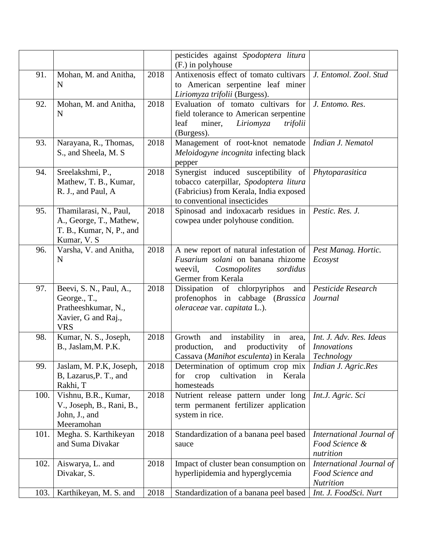|      |                                                                                                     |      | pesticides against Spodoptera litura<br>(F.) in polyhouse                                                                                               |                                                                  |
|------|-----------------------------------------------------------------------------------------------------|------|---------------------------------------------------------------------------------------------------------------------------------------------------------|------------------------------------------------------------------|
| 91.  | Mohan, M. and Anitha,<br>N                                                                          | 2018 | Antixenosis effect of tomato cultivars<br>to American serpentine leaf miner                                                                             | J. Entomol. Zool. Stud                                           |
|      |                                                                                                     |      | Liriomyza trifolii (Burgess).                                                                                                                           |                                                                  |
| 92.  | Mohan, M. and Anitha,<br>N                                                                          | 2018 | Evaluation of tomato cultivars for<br>field tolerance to American serpentine<br>Liriomyza<br>leaf<br>miner,<br>trifolii<br>(Burgess).                   | J. Entomo. Res.                                                  |
| 93.  | Narayana, R., Thomas,<br>S., and Sheela, M. S.                                                      | 2018 | Management of root-knot nematode<br>Meloidogyne incognita infecting black<br>pepper                                                                     | Indian J. Nematol                                                |
| 94.  | Sreelakshmi, P.,<br>Mathew, T. B., Kumar,<br>R. J., and Paul, A                                     | 2018 | Synergist induced susceptibility of<br>tobacco caterpillar, Spodoptera litura<br>(Fabricius) from Kerala, India exposed<br>to conventional insecticides | Phytoparasitica                                                  |
| 95.  | Thamilarasi, N., Paul,<br>A., George, T., Mathew,<br>T. B., Kumar, N, P., and<br>Kumar, V. S        | 2018 | Spinosad and indoxacarb residues in<br>cowpea under polyhouse condition.                                                                                | Pestic. Res. J.                                                  |
| 96.  | Varsha, V. and Anitha,<br>N                                                                         | 2018 | A new report of natural infestation of<br>Fusarium solani on banana rhizome<br>weevil,<br>Cosmopolites<br>sordidus<br>Germer from Kerala                | Pest Manag. Hortic.<br>Ecosyst                                   |
| 97.  | Beevi, S. N., Paul, A.,<br>George., T.,<br>Pratheeshkumar, N.,<br>Xavier, G and Raj.,<br><b>VRS</b> | 2018 | Dissipation of chlorpyriphos<br>and<br>profenophos in cabbage (Brassica<br>oleraceae var. capitata L.).                                                 | Pesticide Research<br>Journal                                    |
| 98.  | Kumar, N. S., Joseph,<br>B., Jaslam, M. P.K.                                                        | 2018 | Growth<br>and<br>instability<br>in<br>area,<br>productivity<br>and<br>production,<br>of<br>Cassava (Manihot esculenta) in Kerala                        | Int. J. Adv. Res. Ideas<br><b>Innovations</b><br>Technology      |
| 99.  | Jaslam, M. P.K, Joseph,<br>B, Lazarus, P. T., and<br>Rakhi, T                                       | 2018 | Determination of optimum crop mix<br>cultivation<br>crop<br>in<br>Kerala<br>for<br>homesteads                                                           | Indian J. Agric.Res                                              |
| 100. | Vishnu, B.R., Kumar,<br>V., Joseph, B., Rani, B.,<br>John, J., and<br>Meeramohan                    | 2018 | Nutrient release pattern under long<br>term permanent fertilizer application<br>system in rice.                                                         | Int.J. Agric. Sci                                                |
| 101. | Megha. S. Karthikeyan<br>and Suma Divakar                                                           | 2018 | Standardization of a banana peel based<br>sauce                                                                                                         | International Journal of<br>Food Science &<br>nutrition          |
| 102. | Aiswarya, L. and<br>Divakar, S.                                                                     | 2018 | Impact of cluster bean consumption on<br>hyperlipidemia and hyperglycemia                                                                               | International Journal of<br>Food Science and<br><b>Nutrition</b> |
| 103. | Karthikeyan, M. S. and                                                                              | 2018 | Standardization of a banana peel based                                                                                                                  | Int. J. FoodSci. Nurt                                            |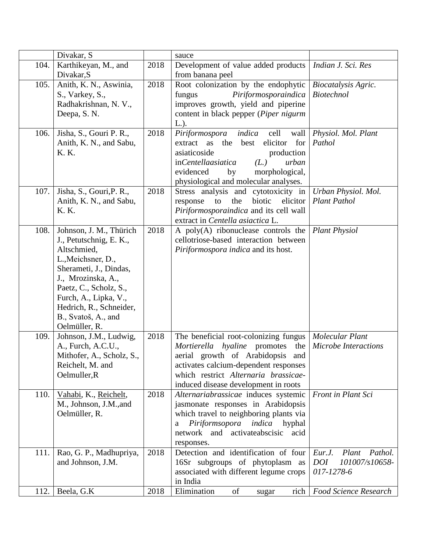|      | Divakar, S                                                                                                                                                                                                                                                    |      | sauce                                                                                                                                                                                                                                          |                                                                          |
|------|---------------------------------------------------------------------------------------------------------------------------------------------------------------------------------------------------------------------------------------------------------------|------|------------------------------------------------------------------------------------------------------------------------------------------------------------------------------------------------------------------------------------------------|--------------------------------------------------------------------------|
| 104. | Karthikeyan, M., and                                                                                                                                                                                                                                          | 2018 | Development of value added products<br>from banana peel                                                                                                                                                                                        | Indian J. Sci. Res                                                       |
| 105. | Divakar, S<br>Anith, K. N., Aswinia,<br>S., Varkey, S.,<br>Radhakrishnan, N. V.,<br>Deepa, S. N.                                                                                                                                                              | 2018 | Root colonization by the endophytic<br>Piriformosporaindica<br>fungus<br>improves growth, yield and piperine<br>content in black pepper (Piper nigurm<br>$L.$ ).                                                                               | Biocatalysis Agric.<br><b>Biotechnol</b>                                 |
| 106. | Jisha, S., Gouri P. R.,<br>Anith, K. N., and Sabu,<br>K. K.                                                                                                                                                                                                   | 2018 | indica<br>Piriformospora<br>cell<br>wall<br>elicitor<br>for<br>the<br>best<br>extract<br>as<br>asiaticoside<br>production<br>(L.)<br>inCentellaasiatica<br>urban<br>evidenced<br>by<br>morphological,<br>physiological and molecular analyses. | Physiol. Mol. Plant<br>Pathol                                            |
| 107. | Jisha, S., Gouri, P.R.,<br>Anith, K. N., and Sabu,<br>K. K.                                                                                                                                                                                                   | 2018 | Stress analysis and cytotoxicity in<br>the<br>biotic<br>elicitor<br>to<br>response<br>Piriformosporaindica and its cell wall<br>extract in Centella asiactica L.                                                                               | Urban Physiol. Mol.<br><b>Plant Pathol</b>                               |
| 108. | Johnson, J. M., Thürich<br>J., Petutschnig, E. K.,<br>Altschmied,<br>L., Meichsner, D.,<br>Sherameti, J., Dindas,<br>J., Mrozinska, A.,<br>Paetz, C., Scholz, S.,<br>Furch, A., Lipka, V.,<br>Hedrich, R., Schneider,<br>B., Svatoš, A., and<br>Oelmüller, R. | 2018 | A $poly(A)$ ribonuclease controls the<br>cellotriose-based interaction between<br>Piriformospora indica and its host.                                                                                                                          | <b>Plant Physiol</b>                                                     |
| 109. | Johnson, J.M., Ludwig,<br>A., Furch, A.C.U.,<br>Mithofer, A., Scholz, S.,<br>Reichelt, M. and<br>Oelmuller, R                                                                                                                                                 | 2018 | The beneficial root-colonizing fungus<br>Mortierella hyaline promotes<br>the<br>aerial growth of Arabidopsis<br>and<br>activates calcium-dependent responses<br>which restrict Alternaria brassicae-<br>induced disease development in roots   | Molecular Plant<br><b>Microbe Interactions</b>                           |
| 110. | Vahabi, K., Reichelt,<br>M., Johnson, J.M., and<br>Oelmüller, R.                                                                                                                                                                                              | 2018 | Alternariabrassicae induces systemic<br>jasmonate responses in Arabidopsis<br>which travel to neighboring plants via<br>Piriformsopora<br>indica<br>hyphal<br>a<br>network and activateabscisic acid<br>responses.                             | Front in Plant Sci                                                       |
| 111. | Rao, G. P., Madhupriya,<br>and Johnson, J.M.                                                                                                                                                                                                                  | 2018 | Detection and identification of four<br>16Sr subgroups of phytoplasm as<br>associated with different legume crops<br>in India                                                                                                                  | Pathol.<br>Eur.J.<br>Plant<br><b>DOI</b><br>101007/s10658-<br>017-1278-6 |
| 112. | Beela, G.K                                                                                                                                                                                                                                                    | 2018 | of<br>Elimination<br>sugar                                                                                                                                                                                                                     | rich   Food Science Research                                             |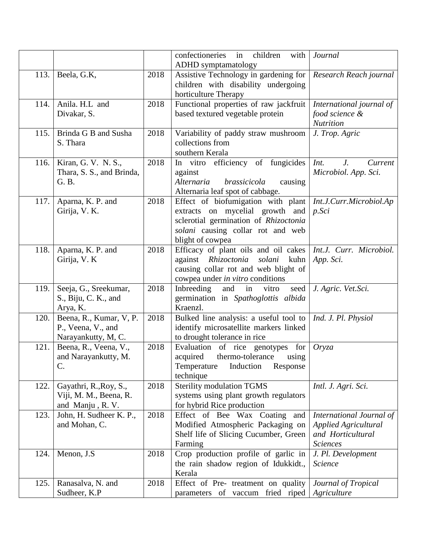|      |                                                                      |      | in<br>children<br>confectioneries<br>with                                                                                                                               | Journal                                                                                         |
|------|----------------------------------------------------------------------|------|-------------------------------------------------------------------------------------------------------------------------------------------------------------------------|-------------------------------------------------------------------------------------------------|
|      |                                                                      |      | <b>ADHD</b> symptamatology                                                                                                                                              |                                                                                                 |
| 113. | Beela, G.K.                                                          | 2018 | Assistive Technology in gardening for<br>children with disability undergoing<br>horticulture Therapy                                                                    | Research Reach journal                                                                          |
| 114. | Anila. H.L and<br>Divakar, S.                                        | 2018 | Functional properties of raw jackfruit<br>based textured vegetable protein                                                                                              | International journal of<br>food science &<br><b>Nutrition</b>                                  |
| 115. | Brinda G B and Susha<br>S. Thara                                     | 2018 | Variability of paddy straw mushroom<br>collections from<br>southern Kerala                                                                                              | J. Trop. Agric                                                                                  |
| 116. | Kiran, G. V. N. S.,<br>Thara, S. S., and Brinda,<br>G. B.            | 2018 | In vitro efficiency of fungicides<br>against<br>Alternaria<br>brassicicola<br>causing<br>Alternaria leaf spot of cabbage.                                               | Int.<br>$J_{\cdot}$<br>Current<br>Microbiol. App. Sci.                                          |
| 117. | Aparna, K. P. and<br>Girija, V. K.                                   | 2018 | Effect of biofumigation with plant<br>extracts on mycelial growth and<br>sclerotial germination of Rhizoctonia<br>solani causing collar rot and web<br>blight of cowpea | Int.J.Curr.Microbiol.Ap<br>$p.$ Sci                                                             |
| 118. | Aparna, K. P. and<br>Girija, V. K                                    | 2018 | Efficacy of plant oils and oil cakes<br>Rhizoctonia<br>against<br>solani<br>kuhn<br>causing collar rot and web blight of<br>cowpea under in vitro conditions            | Int.J. Curr. Microbiol.<br>App. Sci.                                                            |
| 119. | Seeja, G., Sreekumar,<br>S., Biju, C. K., and<br>Arya, K.            | 2018 | in<br>Inbreeding<br>and<br>vitro<br>seed<br>germination in Spathoglottis albida<br>Kraenzl.                                                                             | J. Agric. Vet.Sci.                                                                              |
| 120. | Beena, R., Kumar, V, P.<br>P., Veena, V., and<br>Narayankutty, M, C. | 2018 | Bulked line analysis: a useful tool to<br>identify microsatellite markers linked<br>to drought tolerance in rice                                                        | Ind. J. Pl. Physiol                                                                             |
| 121. | Beena, R., Veena, V.,<br>and Narayankutty, M.<br>C.                  | 2018 | Evaluation of rice genotypes for<br>acquired<br>thermo-tolerance<br>using<br>Temperature<br>Induction<br>Response<br>technique                                          | Oryza                                                                                           |
| 122. | Gayathri, R., Roy, S.,<br>Viji, M. M., Beena, R.<br>and Manju, R.V.  | 2018 | <b>Sterility modulation TGMS</b><br>systems using plant growth regulators<br>for hybrid Rice production                                                                 | Intl. J. Agri. Sci.                                                                             |
| 123. | John, H. Sudheer K. P.,<br>and Mohan, C.                             | 2018 | Effect of Bee Wax Coating and<br>Modified Atmospheric Packaging on<br>Shelf life of Slicing Cucumber, Green<br>Farming                                                  | International Journal of<br><b>Applied Agricultural</b><br>and Horticultural<br><b>Sciences</b> |
| 124. | Menon, J.S.                                                          | 2018 | Crop production profile of garlic in<br>the rain shadow region of Idukkidt.,<br>Kerala                                                                                  | J. Pl. Development<br><b>Science</b>                                                            |
| 125. | Ranasalva, N. and<br>Sudheer, K.P                                    | 2018 | Effect of Pre- treatment on quality<br>parameters of vaccum fried riped                                                                                                 | Journal of Tropical<br>Agriculture                                                              |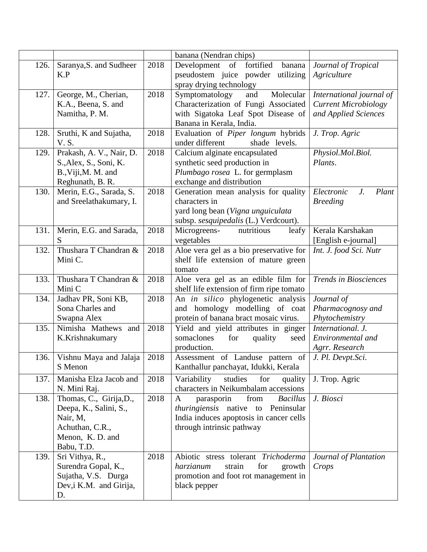|      |                                                                                                                   |      | banana (Nendran chips)                                                                                                                                      |                                                                                 |
|------|-------------------------------------------------------------------------------------------------------------------|------|-------------------------------------------------------------------------------------------------------------------------------------------------------------|---------------------------------------------------------------------------------|
| 126. | Saranya, S. and Sudheer<br>K.P                                                                                    | 2018 | Development of fortified<br>banana<br>pseudostem juice powder utilizing<br>spray drying technology                                                          | Journal of Tropical<br>Agriculture                                              |
| 127. | George, M., Cherian,<br>K.A., Beena, S. and<br>Namitha, P. M.                                                     | 2018 | Symptomatology<br>Molecular<br>and<br>Characterization of Fungi Associated<br>with Sigatoka Leaf Spot Disease of<br>Banana in Kerala, India.                | International journal of<br><b>Current Microbiology</b><br>and Applied Sciences |
| 128. | Sruthi, K and Sujatha,<br>V. S.                                                                                   | 2018 | Evaluation of Piper longum hybrids<br>under different<br>shade levels.                                                                                      | J. Trop. Agric                                                                  |
| 129. | Prakash, A. V., Nair, D.<br>S., Alex, S., Soni, K.<br>B., Viji, M. M. and<br>Reghunath, B. R.                     | 2018 | Calcium alginate encapsulated<br>synthetic seed production in<br>Plumbago rosea L. for germplasm<br>exchange and distribution                               | Physiol.Mol.Biol.<br>Plants.                                                    |
| 130. | Merin, E.G., Sarada, S.<br>and Sreelathakumary, I.                                                                | 2018 | Generation mean analysis for quality<br>characters in<br>yard long bean (Vigna unguiculata<br>subsp. sesquipedalis (L.) Verdcourt).                         | Electronic<br>$J_{\cdot}$<br>Plant<br><b>Breeding</b>                           |
| 131. | Merin, E.G. and Sarada,<br>S                                                                                      | 2018 | Microgreens-<br>nutritious<br>leafy<br>vegetables                                                                                                           | Kerala Karshakan<br>[English e-journal]                                         |
| 132. | Thushara T Chandran &<br>Mini C.                                                                                  | 2018 | Aloe vera gel as a bio preservative for<br>shelf life extension of mature green<br>tomato                                                                   | Int. J. food Sci. Nutr                                                          |
| 133. | Thushara T Chandran &<br>Mini C                                                                                   | 2018 | Aloe vera gel as an edible film for<br>shelf life extension of firm ripe tomato                                                                             | <b>Trends in Biosciences</b>                                                    |
| 134. | Jadhav PR, Soni KB,<br>Sona Charles and<br>Swapna Alex                                                            | 2018 | An in silico phylogenetic analysis<br>and homology modelling of coat<br>protein of banana bract mosaic virus.                                               | Journal of<br>Pharmacognosy and<br>Phytochemistry                               |
| 135. | Nimisha Mathews and<br>K.Krishnakumary                                                                            | 2018 | Yield and yield attributes in ginger<br>somaclones<br>for<br>quality<br>seed<br>production.                                                                 | International, J.<br>Environmental and<br>Agrr. Research                        |
| 136. | Vishnu Maya and Jalaja<br>S Menon                                                                                 | 2018 | Assessment of Landuse pattern of<br>Kanthallur panchayat, Idukki, Kerala                                                                                    | J. Pl. Devpt.Sci.                                                               |
| 137. | Manisha Elza Jacob and<br>N. Mini Raj.                                                                            | 2018 | Variability<br>studies<br>for<br>quality<br>characters in Neikumbalam accessions                                                                            | J. Trop. Agric                                                                  |
| 138. | Thomas, C., Girija, D.,<br>Deepa, K., Salini, S.,<br>Nair, M,<br>Achuthan, C.R.,<br>Menon, K.D. and<br>Babu, T.D. | 2018 | from<br>A<br>parasporin<br><b>Bacillus</b><br>thuringiensis native to<br>Peninsular<br>India induces apoptosis in cancer cells<br>through intrinsic pathway | J. Biosci                                                                       |
| 139. | Sri Vithya, R.,<br>Surendra Gopal, K.,<br>Sujatha, V.S. Durga<br>Dev, i K.M. and Girija,<br>D.                    | 2018 | Abiotic stress tolerant Trichoderma<br>harzianum<br>strain<br>for<br>growth<br>promotion and foot rot management in<br>black pepper                         | Journal of Plantation<br>Crops                                                  |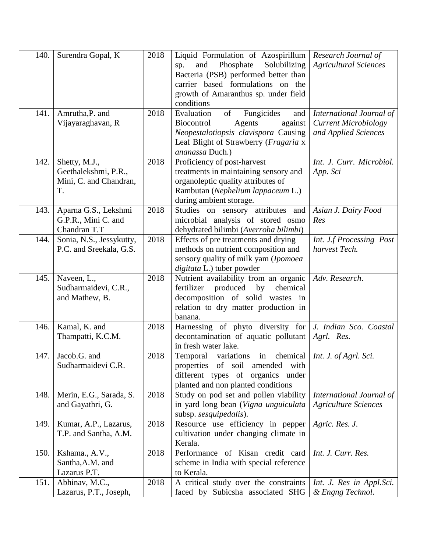| 140. | Surendra Gopal, K                        | 2018 | Liquid Formulation of Azospirillum                                        | Research Journal of                           |
|------|------------------------------------------|------|---------------------------------------------------------------------------|-----------------------------------------------|
|      |                                          |      | Phosphate<br>Solubilizing<br>and<br>sp.                                   | <b>Agricultural Sciences</b>                  |
|      |                                          |      | Bacteria (PSB) performed better than                                      |                                               |
|      |                                          |      | carrier based formulations on the                                         |                                               |
|      |                                          |      | growth of Amaranthus sp. under field<br>conditions                        |                                               |
|      |                                          |      |                                                                           |                                               |
| 141. | Amrutha, P. and                          | 2018 | Fungicides<br>Evaluation<br>of<br>and                                     | International Journal of                      |
|      | Vijayaraghavan, R                        |      | Agents<br>Biocontrol<br>against                                           | <b>Current Microbiology</b>                   |
|      |                                          |      | Neopestalotiopsis clavispora Causing                                      | and Applied Sciences                          |
|      |                                          |      | Leaf Blight of Strawberry (Fragaria x<br>ananassa Duch.)                  |                                               |
| 142. |                                          | 2018 |                                                                           | Int. J. Curr. Microbiol.                      |
|      | Shetty, M.J.,                            |      | Proficiency of post-harvest                                               |                                               |
|      | Geethalekshmi, P.R.,                     |      | treatments in maintaining sensory and                                     | App. Sci                                      |
|      | Mini, C. and Chandran,<br>T.             |      | organoleptic quality attributes of                                        |                                               |
|      |                                          |      | Rambutan (Nephelium lappaceum L.)                                         |                                               |
| 143. | Aparna G.S., Lekshmi                     | 2018 | during ambient storage.<br>Studies on sensory attributes and              | Asian J. Dairy Food                           |
|      | G.P.R., Mini C. and                      |      | microbial analysis of stored osmo                                         | Res                                           |
|      | Chandran T.T                             |      | dehydrated bilimbi (Averroha bilimbi)                                     |                                               |
| 144. | Sonia, N.S., Jessykutty,                 | 2018 | Effects of pre treatments and drying                                      | Int. J.f Processing Post                      |
|      | P.C. and Sreekala, G.S.                  |      | methods on nutrient composition and                                       | harvest Tech.                                 |
|      |                                          |      | sensory quality of milk yam (Ipomoea                                      |                                               |
|      |                                          |      | digitata L.) tuber powder                                                 |                                               |
| 145. | Naveen, L.,                              | 2018 | Nutrient availability from an organic                                     | Adv. Research.                                |
|      | Sudharmaidevi, C.R.,                     |      | fertilizer produced<br>chemical<br>by                                     |                                               |
|      | and Mathew, B.                           |      | decomposition of solid wastes in                                          |                                               |
|      |                                          |      | relation to dry matter production in                                      |                                               |
|      |                                          |      | banana.                                                                   |                                               |
| 146. | Kamal, K. and                            | 2018 | Harnessing of phyto diversity for                                         | J. Indian Sco. Coastal                        |
|      |                                          |      |                                                                           |                                               |
|      | Thampatti, K.C.M.                        |      | decontamination of aquatic pollutant                                      | Agrl. Res.                                    |
|      |                                          |      | in fresh water lake.                                                      |                                               |
| 147. | Jacob.G. and                             | 2018 | Temporal variations in<br>chemical                                        | Int. J. of Agrl. Sci.                         |
|      | Sudharmaidevi C.R.                       |      | properties of soil amended with                                           |                                               |
|      |                                          |      | different types of organics under                                         |                                               |
|      |                                          |      | planted and non planted conditions                                        |                                               |
| 148. | Merin, E.G., Sarada, S.                  | 2018 | Study on pod set and pollen viability                                     | International Journal of                      |
|      | and Gayathri, G.                         |      | in yard long bean (Vigna unguiculata                                      | <b>Agriculture Sciences</b>                   |
|      |                                          |      | subsp. sesquipedalis).                                                    |                                               |
| 149. | Kumar, A.P., Lazarus,                    | 2018 | Resource use efficiency in pepper                                         | Agric. Res. J.                                |
|      | T.P. and Santha, A.M.                    |      | cultivation under changing climate in                                     |                                               |
|      |                                          |      | Kerala.                                                                   |                                               |
| 150. | Kshama., A.V.,                           | 2018 | Performance of Kisan credit card                                          | Int. J. Curr. Res.                            |
|      | Santha, A.M. and                         |      | scheme in India with special reference                                    |                                               |
|      | Lazarus P.T.                             |      | to Kerala.                                                                |                                               |
| 151. | Abhinav, M.C.,<br>Lazarus, P.T., Joseph, | 2018 | A critical study over the constraints<br>faced by Subicsha associated SHG | Int. J. Res in Appl. Sci.<br>& Engng Technol. |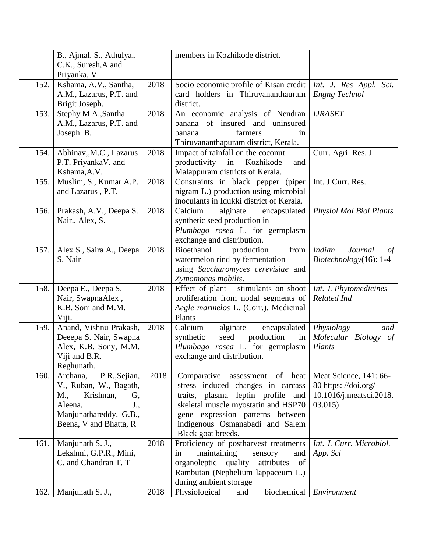|      | B., Ajmal, S., Athulya,,<br>C.K., Suresh, A and<br>Priyanka, V.                                                                                     |      | members in Kozhikode district.                                                                                                                                                                                                                  |                                                                                    |
|------|-----------------------------------------------------------------------------------------------------------------------------------------------------|------|-------------------------------------------------------------------------------------------------------------------------------------------------------------------------------------------------------------------------------------------------|------------------------------------------------------------------------------------|
| 152. | Kshama, A.V., Santha,<br>A.M., Lazarus, P.T. and<br>Brigit Joseph.                                                                                  | 2018 | Socio economic profile of Kisan credit   Int. J. Res Appl. Sci.<br>card holders in Thiruvananthauram<br>district.                                                                                                                               | <b>Engng Technol</b>                                                               |
| 153. | Stephy M A., Santha<br>A.M., Lazarus, P.T. and<br>Joseph. B.                                                                                        | 2018 | An economic analysis of Nendran<br>banana of insured and uninsured<br>farmers<br>banana<br>in<br>Thiruvananthapuram district, Kerala.                                                                                                           | <b>IJRASET</b>                                                                     |
| 154. | Abhinav,,M.C., Lazarus<br>P.T. PriyankaV. and<br>Kshama, A.V.                                                                                       | 2018 | Impact of rainfall on the coconut<br>productivity in Kozhikode<br>and<br>Malappuram districts of Kerala.                                                                                                                                        | Curr. Agri. Res. J                                                                 |
| 155. | Muslim, S., Kumar A.P.<br>and Lazarus, P.T.                                                                                                         | 2018 | Constraints in black pepper (piper<br>nigram L.) production using microbial<br>inoculants in Idukki district of Kerala.                                                                                                                         | Int. J Curr. Res.                                                                  |
| 156. | Prakash, A.V., Deepa S.<br>Nair., Alex, S.                                                                                                          | 2018 | Calcium<br>alginate<br>encapsulated<br>synthetic seed production in<br>Plumbago rosea L. for germplasm<br>exchange and distribution.                                                                                                            | <b>Physiol Mol Biol Plants</b>                                                     |
| 157. | Alex S., Saira A., Deepa<br>S. Nair                                                                                                                 | 2018 | Bioethanol<br>from<br>production<br>watermelon rind by fermentation<br>using Saccharomyces cerevisiae and<br>Zymomonas mobilis.                                                                                                                 | <b>Indian</b><br>Journal<br>of<br>$Biotechnology(16): 1-4$                         |
| 158. | Deepa E., Deepa S.<br>Nair, SwapnaAlex,<br>K.B. Soni and M.M.<br>Viji.                                                                              | 2018 | stimulants on shoot<br>Effect of plant<br>proliferation from nodal segments of<br>Aegle marmelos L. (Corr.). Medicinal<br>Plants                                                                                                                | Int. J. Phytomedicines<br>Related Ind                                              |
| 159. | Anand, Vishnu Prakash,<br>Deeepa S. Nair, Swapna<br>Alex, K.B. Sony, M.M.<br>Viji and B.R.<br>Reghunath.                                            | 2018 | Calcium<br>alginate<br>encapsulated<br>seed<br>production<br>synthetic<br>in<br>Plumbago rosea L. for germplasm<br>exchange and distribution.                                                                                                   | Physiology<br>and<br>Molecular Biology of<br>Plants                                |
| 160. | P.R., Sejian,<br>Archana,<br>V., Ruban, W., Bagath,<br>Krishnan,<br>M.,<br>G,<br>Aleena,<br>J.,<br>Manjunathareddy, G.B.,<br>Beena, V and Bhatta, R | 2018 | assessment of heat<br>Comparative<br>stress induced changes in carcass<br>traits, plasma leptin profile and<br>skeletal muscle myostatin and HSP70<br>gene expression patterns between<br>indigenous Osmanabadi and Salem<br>Black goat breeds. | Meat Science, 141: 66-<br>80 https://doi.org/<br>10.1016/j.meatsci.2018.<br>03.015 |
| 161. | Manjunath S. J.,<br>Lekshmi, G.P.R., Mini,<br>C. and Chandran T. T                                                                                  | 2018 | Proficiency of postharvest treatments<br>maintaining<br>sensory<br>in<br>and<br>organoleptic quality<br>attributes<br>of<br>Rambutan (Nephelium lappaceum L.)<br>during ambient storage                                                         | Int. J. Curr. Microbiol.<br>App. Sci                                               |
| 162. | Manjunath S. J.,                                                                                                                                    | 2018 | Physiological<br>biochemical<br>and                                                                                                                                                                                                             | Environment                                                                        |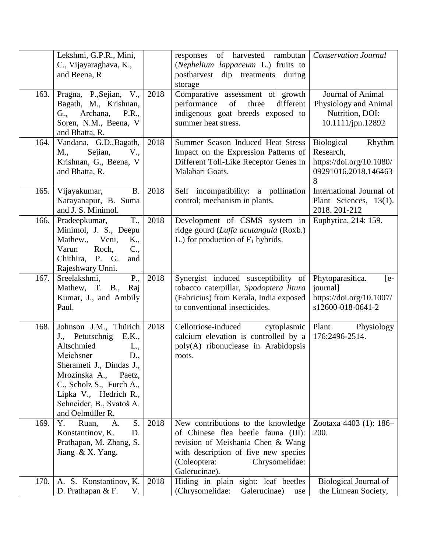|      | Lekshmi, G.P.R., Mini,<br>C., Vijayaraghava, K.,<br>and Beena, R                                                                                                                                                                                       |      | responses of harvested rambutan<br>(Nephelium lappaceum L.) fruits to<br>postharvest<br>dip treatments<br>during<br>storage                                                                               | <b>Conservation Journal</b>                                                                |
|------|--------------------------------------------------------------------------------------------------------------------------------------------------------------------------------------------------------------------------------------------------------|------|-----------------------------------------------------------------------------------------------------------------------------------------------------------------------------------------------------------|--------------------------------------------------------------------------------------------|
| 163. | Pragna, P., Sejian, V.,<br>Bagath, M., Krishnan,<br>Archana,<br>G.,<br>P.R.,<br>Soren, N.M., Beena, V<br>and Bhatta, R.                                                                                                                                | 2018 | Comparative assessment of growth<br>three<br>of<br>different<br>performance<br>indigenous goat breeds exposed to<br>summer heat stress.                                                                   | Journal of Animal<br>Physiology and Animal<br>Nutrition, DOI:<br>10.1111/jpn.12892         |
| 164. | Vandana, G.D., Bagath,<br>Sejian,<br>M.,<br>V.,<br>Krishnan, G., Beena, V<br>and Bhatta, R.                                                                                                                                                            | 2018 | Summer Season Induced Heat Stress<br>Impact on the Expression Patterns of<br>Different Toll-Like Receptor Genes in<br>Malabari Goats.                                                                     | Biological<br>Rhythm<br>Research,<br>https://doi.org/10.1080/<br>09291016.2018.146463<br>8 |
| 165. | Vijayakumar,<br><b>B.</b><br>Narayanapur, B. Suma<br>and J. S. Minimol.                                                                                                                                                                                | 2018 | Self incompatibility: a pollination<br>control; mechanism in plants.                                                                                                                                      | International Journal of<br>Plant Sciences, 13(1).<br>2018. 201-212                        |
| 166. | T.,<br>Pradeepkumar,<br>Minimol, J. S., Deepu<br>Mathew., Veni,<br>K.,<br>$C_{\cdot}$<br>Roch,<br>Varun<br>Chithira, P. G.<br>and<br>Rajeshwary Unni.                                                                                                  | 2018 | Development of CSMS system in<br>ridge gourd (Luffa acutangula (Roxb.)<br>L.) for production of $F_1$ hybrids.                                                                                            | Euphytica, 214: 159.                                                                       |
| 167. | $P_{\cdot}$<br>Sreelakshmi,<br>Mathew, T. B., Raj<br>Kumar, J., and Ambily<br>Paul.                                                                                                                                                                    | 2018 | Synergist induced susceptibility of<br>tobacco caterpillar, Spodoptera litura<br>(Fabricius) from Kerala, India exposed<br>to conventional insecticides.                                                  | Phytoparasitica.<br>$[e -$<br>journal]<br>https://doi.org/10.1007/<br>s12600-018-0641-2    |
| 168. | Johnson J.M., Thürich<br>J., Petutschnig<br>E.K.,<br>Altschmied<br>L.,<br>Meichsner<br>D.,<br>Sherameti J., Dindas J.,<br>Mrozinska A.,<br>Paetz,<br>C., Scholz S., Furch A.,<br>Lipka V., Hedrich R.,<br>Schneider, B., Svatoš A.<br>and Oelmüller R. | 2018 | Cellotriose-induced<br>cytoplasmic<br>calcium elevation is controlled by a<br>poly(A) ribonuclease in Arabidopsis<br>roots.                                                                               | Plant<br>Physiology<br>176:2496-2514.                                                      |
| 169. | Y.<br>S.<br>Ruan,<br>A.<br>Konstantinov, K.<br>D.<br>Prathapan, M. Zhang, S.<br>Jiang $& X.$ Yang.                                                                                                                                                     | 2018 | New contributions to the knowledge<br>of Chinese flea beetle fauna (III):<br>revision of Meishania Chen & Wang<br>with description of five new species<br>(Coleoptera:<br>Chrysomelidae:<br>Galerucinae). | Zootaxa 4403 (1): 186–<br>200.                                                             |
| 170. | A. S. Konstantinov, K.<br>D. Prathapan & F.<br>V.                                                                                                                                                                                                      | 2018 | Hiding in plain sight: leaf beetles<br>(Chrysomelidae:<br>Galerucinae)<br>use                                                                                                                             | Biological Journal of<br>the Linnean Society,                                              |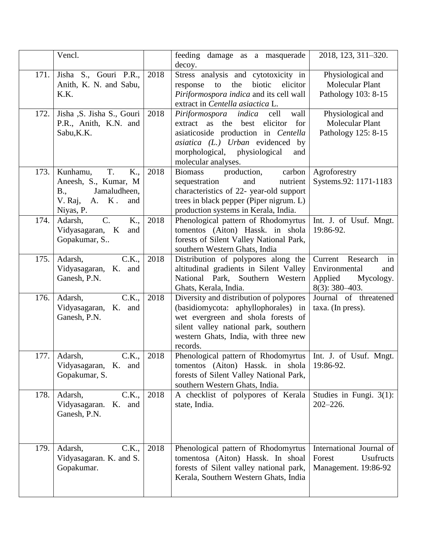|      | Vencl.                                                                                                        |      | feeding damage as a masquerade<br>decoy.                                                                                                                                                                              | 2018, 123, 311-320.                                                                         |
|------|---------------------------------------------------------------------------------------------------------------|------|-----------------------------------------------------------------------------------------------------------------------------------------------------------------------------------------------------------------------|---------------------------------------------------------------------------------------------|
| 171. | Jisha S., Gouri P.R.,<br>Anith, K. N. and Sabu,<br>K.K.                                                       | 2018 | Stress analysis and cytotoxicity in<br>the<br>biotic<br>elicitor<br>response<br>to<br>Piriformospora indica and its cell wall<br>extract in Centella asiactica L.                                                     | Physiological and<br><b>Molecular Plant</b><br>Pathology 103: 8-15                          |
| 172. | Jisha , S. Jisha S., Gouri<br>P.R., Anith, K.N. and<br>Sabu, K.K.                                             | 2018 | Piriformospora indica<br>cell<br>wall<br>for<br>extract as the best elicitor<br>asiaticoside production in Centella<br>asiatica (L.) Urban evidenced by<br>morphological, physiological<br>and<br>molecular analyses. | Physiological and<br><b>Molecular Plant</b><br>Pathology 125: 8-15                          |
| 173. | T.<br>Kunhamu,<br>K.,<br>Aneesh, S., Kumar, M.<br>Jamaludheen,<br>B.,<br>V. Raj,<br>A. K.<br>and<br>Niyas, P. | 2018 | production,<br><b>Biomass</b><br>carbon<br>and<br>nutrient<br>sequestration<br>characteristics of 22- year-old support<br>trees in black pepper (Piper nigrum. L)<br>production systems in Kerala, India.             | Agroforestry<br>Systems.92: 1171-1183                                                       |
| 174. | $C$ .<br>K.,<br>Adarsh,<br>Vidyasagaran, K<br>and<br>Gopakumar, S                                             | 2018 | Phenological pattern of Rhodomyrtus<br>tomentos (Aiton) Hassk. in shola<br>forests of Silent Valley National Park,<br>southern Western Ghats, India                                                                   | Int. J. of Usuf. Mngt.<br>19:86-92.                                                         |
| 175. | C.K.,<br>Adarsh,<br>Vidyasagaran, K. and<br>Ganesh, P.N.                                                      | 2018 | Distribution of polypores along the<br>altitudinal gradients in Silent Valley<br>National Park, Southern Western<br>Ghats, Kerala, India.                                                                             | Current Research<br>in<br>Environmental<br>and<br>Applied<br>Mycology.<br>$8(3)$ : 380-403. |
| 176. | C.K.,<br>Adarsh,<br>Vidyasagaran, K. and<br>Ganesh, P.N.                                                      | 2018 | Diversity and distribution of polypores<br>(basidiomycota: aphyllophorales) in<br>wet evergreen and shola forests of<br>silent valley national park, southern<br>western Ghats, India, with three new<br>records.     | Journal of threatened<br>taxa. (In press).                                                  |
| 177. | C.K.,<br>Adarsh,<br>Vidyasagaran, K. and<br>Gopakumar, S.                                                     | 2018 | Phenological pattern of Rhodomyrtus   Int. J. of Usuf. Mngt.<br>tomentos (Aiton) Hassk. in shola<br>forests of Silent Valley National Park,<br>southern Western Ghats, India.                                         | 19:86-92.                                                                                   |
| 178. | C.K.,<br>Adarsh,<br>Vidyasagaran.<br>K. and<br>Ganesh, P.N.                                                   | 2018 | A checklist of polypores of Kerala<br>state, India.                                                                                                                                                                   | Studies in Fungi. $3(1)$ :<br>$202 - 226.$                                                  |
| 179. | C.K.,<br>Adarsh,<br>Vidyasagaran. K. and S.<br>Gopakumar.                                                     | 2018 | Phenological pattern of Rhodomyrtus<br>tomentosa (Aiton) Hassk. In shoal<br>forests of Silent valley national park,<br>Kerala, Southern Western Ghats, India                                                          | International Journal of<br>Forest<br><b>Usufructs</b><br>Management. 19:86-92              |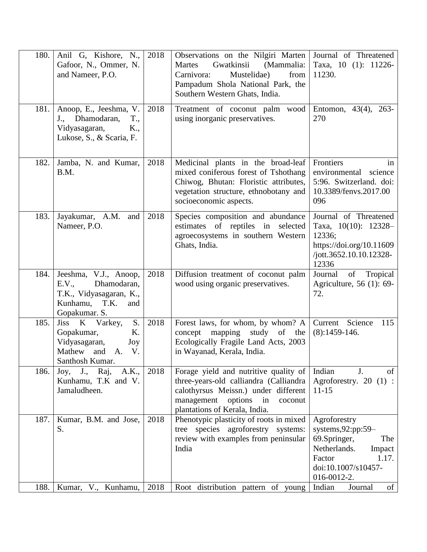| 180. | Anil G, Kishore, N.,<br>Gafoor, N., Ommer, N.<br>and Nameer, P.O.                                                      | 2018 | Observations on the Nilgiri Marten Journal of Threatened<br>Gwatkinsii<br>(Mammalia:<br>Martes<br>Mustelidae)<br>from<br>Carnivora:<br>Pampadum Shola National Park, the<br>Southern Western Ghats, India. | Taxa, 10 (1): 11226-<br>11230.                                                                                                                |
|------|------------------------------------------------------------------------------------------------------------------------|------|------------------------------------------------------------------------------------------------------------------------------------------------------------------------------------------------------------|-----------------------------------------------------------------------------------------------------------------------------------------------|
| 181. | Anoop, E., Jeeshma, V.<br>J., Dhamodaran,<br>T.,<br>Vidyasagaran,<br>K.,<br>Lukose, S., & Scaria, F.                   | 2018 | Treatment of coconut palm wood<br>using inorganic preservatives.                                                                                                                                           | Entomon, $43(4)$ , $263-$<br>270                                                                                                              |
| 182. | Jamba, N. and Kumar,<br>B.M.                                                                                           | 2018 | Medicinal plants in the broad-leaf<br>mixed coniferous forest of Tshothang<br>Chiwog, Bhutan: Floristic attributes,<br>vegetation structure, ethnobotany and<br>socioeconomic aspects.                     | Frontiers<br>in<br>environmental science<br>5:96. Switzerland. doi:<br>10.3389/fenvs.2017.00<br>096                                           |
| 183. | Jayakumar, A.M.<br>and<br>Nameer, P.O.                                                                                 | 2018 | Species composition and abundance<br>of reptiles in selected<br>estimates<br>agroecosystems in southern Western<br>Ghats, India.                                                                           | Journal of Threatened<br>Taxa, $10(10)$ : $12328-$<br>12336;<br>https://doi.org/10.11609<br>/jott.3652.10.10.12328-<br>12336                  |
| 184. | Jeeshma, V.J., Anoop,<br>Dhamodaran,<br>E.V.,<br>T.K., Vidyasagaran, K.,<br>Kunhamu, T.K.<br>and<br>Gopakumar. S.      | 2018 | Diffusion treatment of coconut palm<br>wood using organic preservatives.                                                                                                                                   | Journal<br>of Tropical<br>Agriculture, 56 (1): 69-<br>72.                                                                                     |
| 185. | S <sub>1</sub><br>Jiss K Varkey,<br>Gopakumar,<br>K.<br>Vidyasagaran,<br>Joy<br>Mathew<br>and A. V.<br>Santhosh Kumar. | 2018 | Forest laws, for whom, by whom? A<br>concept mapping study of the<br>Ecologically Fragile Land Acts, 2003<br>in Wayanad, Kerala, India.                                                                    | Current Science<br>115<br>$(8):1459-146.$                                                                                                     |
| 186. | $J_{\cdot}$<br>Raj,<br>A.K.,<br>$\rm{Joy},$<br>Kunhamu, T.K and V.<br>Jamaludheen.                                     | 2018 | Forage yield and nutritive quality of<br>three-years-old calliandra (Calliandra<br>calothyrsus Meissn.) under different<br>management<br>options<br>in<br>coconut<br>plantations of Kerala, India.         | Indian<br>J.<br>of<br>Agroforestry. 20 $(1)$ :<br>$11 - 15$                                                                                   |
| 187. | Kumar, B.M. and Jose,<br>S.                                                                                            | 2018 | Phenotypic plasticity of roots in mixed<br>tree species agroforestry systems:<br>review with examples from peninsular<br>India                                                                             | Agroforestry<br>systems, 92:pp: 59-<br>69.Springer,<br>The<br>Netherlands.<br>Impact<br>Factor<br>1.17.<br>doi:10.1007/s10457-<br>016-0012-2. |
| 188. | Kumar, V., Kunhamu,                                                                                                    | 2018 | Root distribution pattern of young                                                                                                                                                                         | of<br>Indian<br>Journal                                                                                                                       |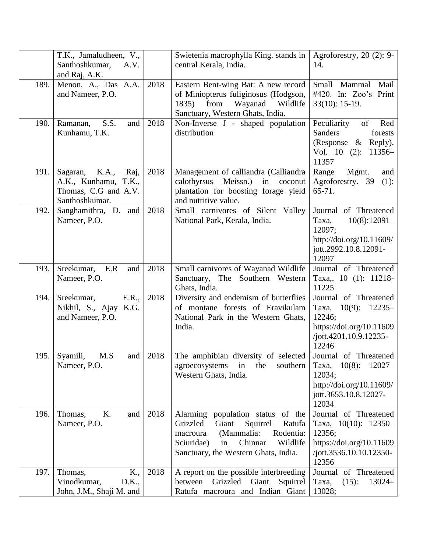|      | T.K., Jamaludheen, V.,<br>Santhoshkumar,<br>A.V.<br>and Raj, A.K.                           |      | Swietenia macrophylla King. stands in<br>central Kerala, India.                                                                                                                                           | Agroforestry, $20$ (2): 9-<br>14.                                                                                                |
|------|---------------------------------------------------------------------------------------------|------|-----------------------------------------------------------------------------------------------------------------------------------------------------------------------------------------------------------|----------------------------------------------------------------------------------------------------------------------------------|
| 189. | Menon, A., Das A.A.<br>and Nameer, P.O.                                                     | 2018 | Eastern Bent-wing Bat: A new record<br>of Miniopterus fuliginosus (Hodgson,<br>1835) from<br>Wayanad Wildlife<br>Sanctuary, Western Ghats, India.                                                         | Mammal<br>Small<br>Mail<br>#420. In: Zoo's Print<br>$33(10): 15-19.$                                                             |
| 190. | S.S.<br>Ramanan,<br>and<br>Kunhamu, T.K.                                                    | 2018 | Non-Inverse J - shaped population<br>distribution                                                                                                                                                         | Peculiarity<br>of<br>Red<br><b>Sanders</b><br>forests<br>(Response $\&$<br>Reply).<br>Vol. $10$ (2):<br>$11356-$<br>11357        |
| 191. | K.A.,<br>Sagaran,<br>Raj,<br>A.K., Kunhamu, T.K.,<br>Thomas, C.G and A.V.<br>Santhoshkumar. | 2018 | Management of calliandra (Calliandra)<br>Meissn.)<br>calothyrsus<br>in<br>coconut<br>plantation for boosting forage yield<br>and nutritive value.                                                         | Range<br>Mgmt.<br>and<br>Agroforestry. 39<br>$(1)$ :<br>$65 - 71.$                                                               |
| 192. | Sanghamithra, D. and<br>Nameer, P.O.                                                        | 2018 | Small carnivores of Silent Valley<br>National Park, Kerala, India.                                                                                                                                        | Journal of Threatened<br>$10(8):12091-$<br>Taxa.<br>12097;<br>http://doi.org/10.11609/<br>jott.2992.10.8.12091-<br>12097         |
| 193. | Sreekumar,<br>E.R<br>and<br>Nameer, P.O.                                                    | 2018 | Small carnivores of Wayanad Wildlife<br>Sanctuary, The Southern Western<br>Ghats, India.                                                                                                                  | Journal of Threatened<br>Taxa,. 10 (1): 11218-<br>11225                                                                          |
| 194. | E.R.,<br>Sreekumar,<br>Nikhil, S., Ajay K.G.<br>and Nameer, P.O.                            | 2018 | Diversity and endemism of butterflies<br>of montane forests of Eravikulam<br>National Park in the Western Ghats,<br>India.                                                                                | Journal of Threatened<br>$10(9)$ :<br>$12235-$<br>Taxa,<br>12246;<br>https://doi.org/10.11609<br>/jott.4201.10.9.12235-<br>12246 |
| 195. | M.S<br>Syamili,<br>and<br>Nameer, P.O.                                                      | 2018 | The amphibian diversity of selected<br>agroecosystems<br>southern<br>in<br>the<br>Western Ghats, India.                                                                                                   | Journal of Threatened<br>Taxa, 10(8): 12027-<br>12034;<br>http://doi.org/10.11609/<br>jott.3653.10.8.12027-<br>12034             |
| 196. | K.<br>Thomas,<br>and<br>Nameer, P.O.                                                        | 2018 | population status of the<br>Alarming<br>Giant<br>Grizzled<br>Squirrel<br>Ratufa<br>(Mammalia:<br>Rodentia:<br>macroura<br>Chinnar<br>Wildlife<br>Sciuridae)<br>in<br>Sanctuary, the Western Ghats, India. | Journal of Threatened<br>Taxa, $10(10)$ : $12350-$<br>12356;<br>https://doi.org/10.11609<br>/jott.3536.10.10.12350-<br>12356     |
| 197. | K.,<br>Thomas,<br>Vinodkumar,<br>D.K.,<br>John, J.M., Shaji M. and                          | 2018 | A report on the possible interbreeding<br>between<br>Grizzled<br>Giant<br>Squirrel<br>Ratufa macroura and Indian Giant                                                                                    | Journal of Threatened<br>Taxa,<br>$13024 -$<br>$(15)$ :<br>13028;                                                                |